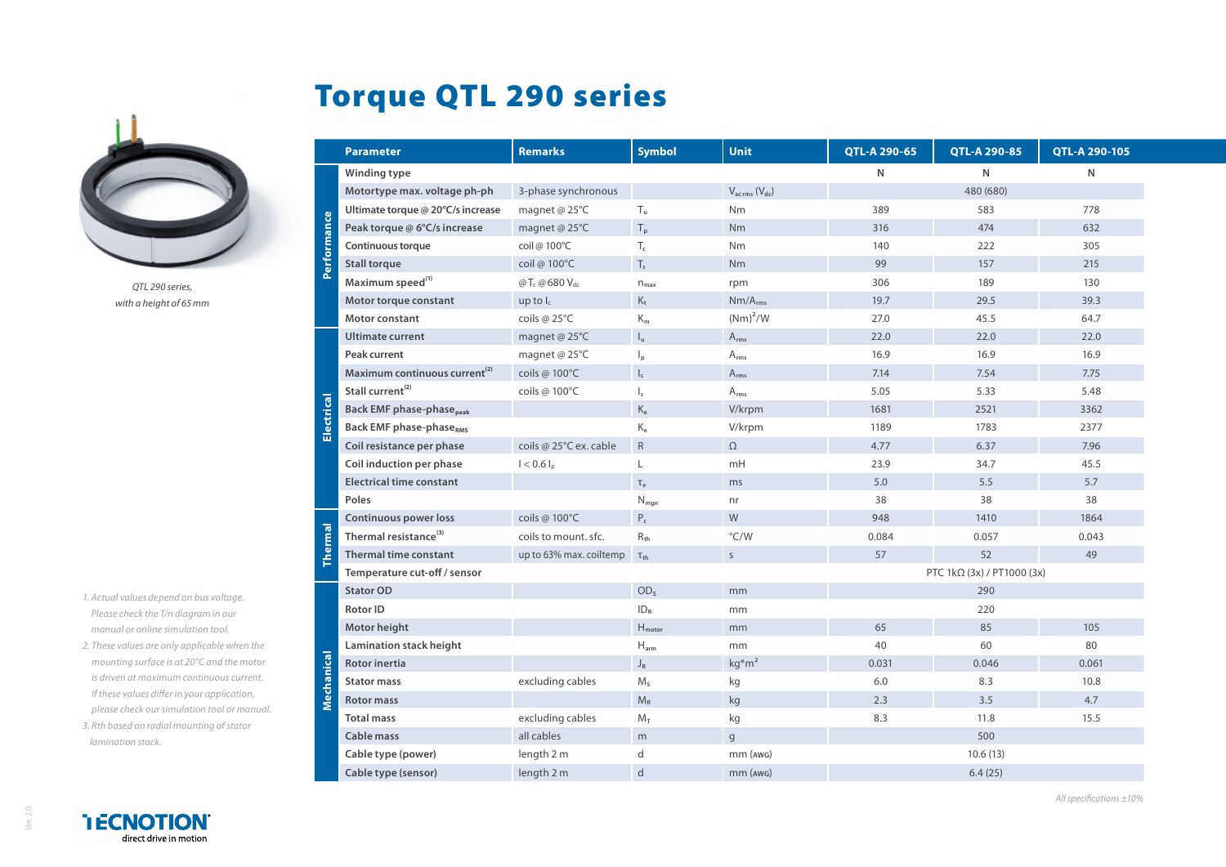

*QTL 290 series, with a height of 65mm*

- *1. Actual values depend on bus voltage. Please check the T/n diagram in our manual or online simulation tool.*
- 2. These values are only applicable when *mounting surface is at 20°C and the i is driven at maximum continuous cultions If these values differ in your applicati please check our simulation tool or n* 3. Rth based on radial mounting of stat
- *lamination stack.*

**TECNOTION** direct drive in motion

|                | Winding type                                               |                                     |                             |                            | N       | ${\sf N}$ | ${\sf N}$ |
|----------------|------------------------------------------------------------|-------------------------------------|-----------------------------|----------------------------|---------|-----------|-----------|
|                | Motortype max. voltage ph-ph                               | 3-phase synchronous                 |                             | $V_{ac\,rms}$ ( $V_{dc}$ ) |         | 480 (680) |           |
|                | Ultimate torque @ 20°C/s increase                          | magnet @ 25°C                       | $\mathsf{T}_\mathsf{u}$     | Nm                         | 389     | 583       | 778       |
| Performance    | Peak torque @ 6°C/s increase                               | magnet @ 25°C                       | $T_p$                       | <b>Nm</b>                  | 316     | 474       | 632       |
|                | Continuous torque                                          | coil @ 100°C                        | $\mathsf{T}_{\mathsf{c}}$   | Nm                         | 140     | 222       | 305       |
|                | <b>Stall torque</b>                                        | coil @ 100°C                        | $\mathsf{T}_\mathsf{s}$     | Nm                         | 99      | 157       | 215       |
|                | Maximum speed <sup>(1)</sup>                               | @ $T_c$ @ 680 $V_{dc}$              | $n_{\text{max}}$            | rpm                        | 306     | 189       | 130       |
|                | Motor torque constant                                      | up to $I_c$                         | $K_t$                       | $Nm/A_{rms}$               | 19.7    | 29.5      | 39.3      |
|                | Motor constant                                             | coils @ 25°C                        | $K_m$                       | $(Nm)^2/W$                 | 27.0    | 45.5      | 64.7      |
|                | <b>Ultimate current</b>                                    | magnet @ 25°C                       | $\mathsf{I}_\mathsf{u}$     | $A_{rms}$                  | 22.0    | 22.0      | 22.0      |
|                | Peak current                                               | magnet @ 25°C                       | $\mathsf{I}_{\mathsf{p}}$   | $A_{rms}$                  | 16.9    | 16.9      | 16.9      |
|                | Maximum continuous current <sup>(2)</sup>                  | coils @ 100°C                       | $\mathsf{I}_{\mathsf{c}}$   | $A_{rms}$                  | 7.14    | 7.54      | 7.75      |
| Electrical     | Stall current <sup>(2)</sup>                               | coils @ 100°C                       | $\vert$                     | $A_{rms}$                  | 5.05    | 5.33      | 5.48      |
|                | <b>Back EMF phase-phase</b> peak                           |                                     | $\rm K_e$                   | V/krpm                     | 1681    | 2521      | 3362      |
|                | <b>Back EMF phase-phaseRMS</b>                             |                                     | $\mathsf{K}_{\mathsf{e}}$   | V/krpm                     | 1189    | 1783      | 2377      |
|                | Coil resistance per phase                                  | coils @ 25°C ex. cable              | ${\sf R}$                   | $\Omega$                   | 4.77    | 6.37      | 7.96      |
|                | Coil induction per phase                                   | $I < 0.6 I_p$                       | L                           | mH                         | 23.9    | 34.7      | 45.5      |
|                | <b>Electrical time constant</b>                            |                                     | $\tau_{\rm e}$              | ms                         | 5.0     | 5.5       | 5.7       |
|                | Poles                                                      |                                     | $N_{mgn}$                   | nr                         | 38      | 38        | 38        |
|                | Continuous power loss                                      | coils @ 100°C                       | $P_c$                       | W                          | 948     | 1410      | 1864      |
|                | Thermal resistance <sup>(3)</sup>                          | coils to mount. sfc.                | $R_{\rm th}$                | $\degree$ C/W              | 0.084   | 0.057     | 0.043     |
| <b>Thermal</b> | <b>Thermal time constant</b>                               | up to 63% max. coiltemp $\tau_{th}$ |                             | $\mathsf{S}$               | 57      | 52        | 49        |
|                | Temperature cut-off / sensor<br>PTC 1kΩ (3x) / PT1000 (3x) |                                     |                             |                            |         |           |           |
|                | <b>Stator OD</b>                                           |                                     | OD <sub>s</sub>             | mm                         |         | 290       |           |
|                | <b>Rotor ID</b>                                            |                                     | ID <sub>R</sub>             | mm                         |         | 220       |           |
|                | Motor height                                               |                                     | $H_{motor}$                 | mm                         | 65      | 85        | 105       |
|                | Lamination stack height                                    |                                     | $\mathsf{H}_{\mathsf{arm}}$ | mm                         | 40      | 60        | 80        |
| Mechanical     | Rotor inertia                                              |                                     | $\mathsf{J}_\mathsf{R}$     | $kg* m2$                   | 0.031   | 0.046     | 0.061     |
|                | <b>Stator mass</b>                                         | excluding cables                    | $M_s$                       | kg                         | $6.0\,$ | 8.3       | 10.8      |
|                | <b>Rotor mass</b>                                          |                                     | $\mathsf{M}_{\mathsf{R}}$   | $\mathsf{k}\mathsf{g}$     | 2.3     | 3.5       | 4.7       |
|                | <b>Total mass</b>                                          | excluding cables                    | $M_T$                       | kg                         | 8.3     | 11.8      | 15.5      |
|                | Cable mass                                                 | all cables                          | m                           | $\mathsf{g}$               |         | 500       |           |
|                | Cable type (power)                                         | length 2 m                          | d                           | $mm$ ( $AWG$ )             |         | 10.6(13)  |           |
|                |                                                            |                                     |                             |                            |         |           |           |

**Parameter Remarks Symbol Unit QTL-A 290-65 QTL-A 290-85 QTL-A 290-105**

## Torque QTL 290 series